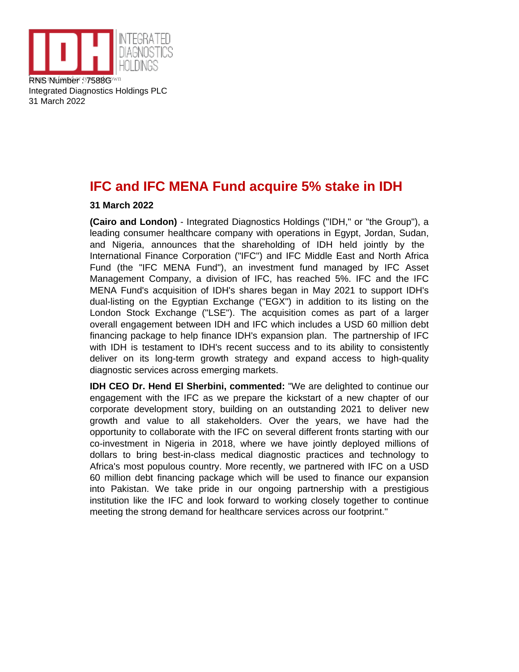

Integrated Diagnostics Holdings PLC 31 March 2022

# **IFC and IFC MENA Fund acquire 5% stake in IDH**

## **31 March 2022**

**(Cairo and London)** - Integrated Diagnostics Holdings ("IDH," or "the Group"), a leading consumer healthcare company with operations in Egypt, Jordan, Sudan, and Nigeria, announces that the shareholding of IDH held jointly by the International Finance Corporation ("IFC") and IFC Middle East and North Africa Fund (the "IFC MENA Fund"), an investment fund managed by IFC Asset Management Company, a division of IFC, has reached 5%. IFC and the IFC MENA Fund's acquisition of IDH's shares began in May 2021 to support IDH's dual-listing on the Egyptian Exchange ("EGX") in addition to its listing on the London Stock Exchange ("LSE"). The acquisition comes as part of a larger overall engagement between IDH and IFC which includes a USD 60 million debt financing package to help finance IDH's expansion plan. The partnership of IFC with IDH is testament to IDH's recent success and to its ability to consistently deliver on its long-term growth strategy and expand access to high-quality diagnostic services across emerging markets.

**IDH CEO Dr. Hend El Sherbini, commented:** "We are delighted to continue our engagement with the IFC as we prepare the kickstart of a new chapter of our corporate development story, building on an outstanding 2021 to deliver new growth and value to all stakeholders. Over the years, we have had the opportunity to collaborate with the IFC on several different fronts starting with our co-investment in Nigeria in 2018, where we have jointly deployed millions of dollars to bring best-in-class medical diagnostic practices and technology to Africa's most populous country. More recently, we partnered with IFC on a USD 60 million debt financing package which will be used to finance our expansion into Pakistan. We take pride in our ongoing partnership with a prestigious institution like the IFC and look forward to working closely together to continue meeting the strong demand for healthcare services across our footprint."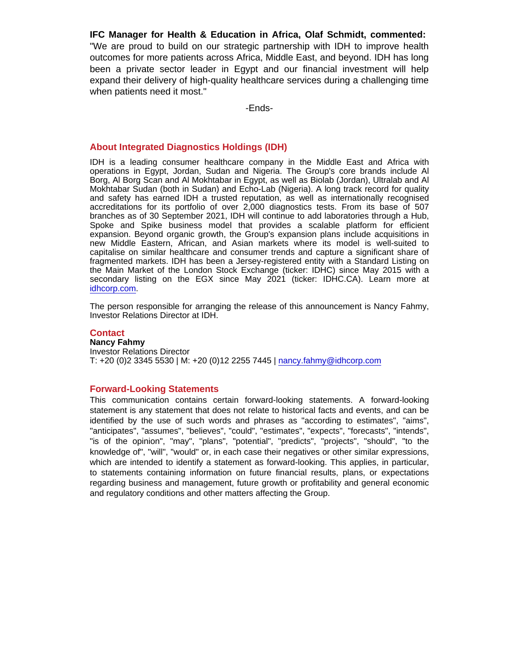IFC Manager for Health & Education in Africa, Olaf Schmidt , commented: "We are proud to build on our strategic partnership with IDH to improve health outcomes for more patients across Africa, Middle East, and beyond. IDH has long been a private sector leader in Egypt and our financial investment will help expand their delivery of high-quality healthcare services during a challenging time when patients need it most."

-Ends-

### About Integrated Diagnostics Holdings (IDH)

IDH is a leading consumer healthcare company in the Middle East and Africa with operations in Egypt, Jordan, Sudan and Nigeria. The Group's core brands include Al Borg, Al Borg Scan and Al Mokhtabar in Egypt, as well as Biolab (Jordan), Ultralab and Al Mokhtabar Sudan (both in Sudan) and Echo-Lab (Nigeria). A long track record for quality and safety has earned IDH a trusted reputation, as well as internationally recognised accreditations for its portfolio of over 2,000 diagnostics tests. From its base of 507 branches as of 30 September 2021, IDH will continue to add laboratories through a Hub, Spoke and Spike business model that provides a scalable platform for efficient expansion. Beyond organic growth, the Group's expansion plans include acquisitions in new Middle Eastern, African, and Asian markets where its model is well-suited to capitalise on similar healthcare and consumer trends and capture a significant share of fragmented markets. IDH has been a Jersey-registered entity with a Standard Listing on the Main Market of the London Stock Exchange (ticker: IDHC) since May 2015 with a secondary listing on the EGX since May 2021 (ticker: IDHC.CA). Learn more at [idhcorp.com](http://idhcorp.com).

The person responsible for arranging the release of this announcement is Nancy Fahmy, Investor Relations Director at IDH.

## **Contact**

Nancy Fahmy Investor Relations Director T: +20 (0)2 3345 5530 | M: +20 (0)12 2255 7445 | [nancy.fahmy@idhcorp.com](mailto:nancy.fahmy@idhcorp.com)

#### Forward-Looking Statements

This communication contains certain forward-looking statements. A forward-looking statement is any statement that does not relate to historical facts and events, and can be identified by the use of such words and phrases as "according to estimates", "aims", "anticipates", "assumes", "believes", "could", "estimates", "expects", "forecasts", "intends", "is of the opinion", "may", "plans", "potential", "predicts", "projects", "should", "to the knowledge of", "will", "would" or, in each case their negatives or other similar expressions, which are intended to identify a statement as forward-looking. This applies, in particular, to statements containing information on future financial results, plans, or expectations regarding business and management, future growth or profitability and general economic and regulatory conditions and other matters affecting the Group.